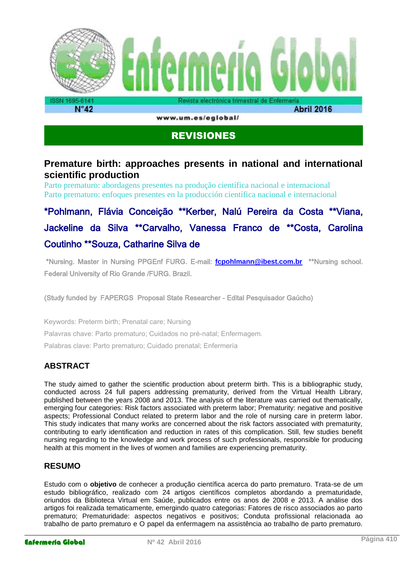

www.um.es/eglobal/

# REVISIONES

# **Premature birth: approaches presents in national and international scientific production**

Parto prematuro: abordagens presentes na produção científica nacional e internacional Parto prematuro: enfoques presentes en la producción científica nacional e internacional

\*Pohlmann, Flávia Conceição \*\*Kerber, Nalú Pereira da Costa \*\*Viana, Jackeline da Silva \*\*Carvalho, Vanessa Franco de \*\*Costa, Carolina Coutinho \*\*Souza, Catharine Silva de

 \*Nursing. Master in Nursing PPGEnf FURG. E-mail: **[fcpohlmann@ibest.com.br](mailto:fcpohlmann@ibest.com.br)** \*\*Nursing school. Federal University of Rio Grande /FURG. Brazil.

(Study funded by FAPERGS Proposal State Researcher - Edital Pesquisador Gaúcho)

Keywords: Preterm birth; Prenatal care; Nursing Palavras chave: Parto prematuro; Cuidados no pré-natal; Enfermagem. Palabras clave: Parto prematuro; Cuidado prenatal; Enfermería

# **ABSTRACT**

The study aimed to gather the scientific production about preterm birth. This is a bibliographic study, conducted across 24 full papers addressing prematurity, derived from the Virtual Health Library, published between the years 2008 and 2013. The analysis of the literature was carried out thematically, emerging four categories: Risk factors associated with preterm labor; Prematurity: negative and positive aspects; Professional Conduct related to preterm labor and the role of nursing care in preterm labor. This study indicates that many works are concerned about the risk factors associated with prematurity, contributing to early identification and reduction in rates of this complication. Still, few studies benefit nursing regarding to the knowledge and work process of such professionals, responsible for producing health at this moment in the lives of women and families are experiencing prematurity.

# **RESUMO**

Estudo com o **objetivo** de conhecer a produção científica acerca do parto prematuro. Trata-se de um estudo bibliográfico, realizado com 24 artigos científicos completos abordando a prematuridade, oriundos da Biblioteca Virtual em Saúde, publicados entre os anos de 2008 e 2013. A análise dos artigos foi realizada tematicamente, emergindo quatro categorias: Fatores de risco associados ao parto prematuro; Prematuridade: aspectos negativos e positivos; Conduta profissional relacionada ao trabalho de parto prematuro e O papel da enfermagem na assistência ao trabalho de parto prematuro.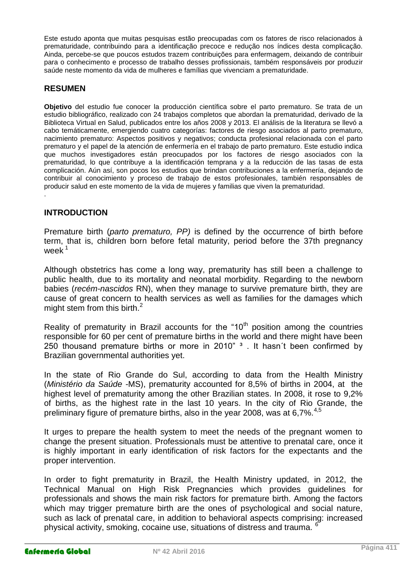Este estudo aponta que muitas pesquisas estão preocupadas com os fatores de risco relacionados à prematuridade, contribuindo para a identificação precoce e redução nos índices desta complicação. Ainda, percebe-se que poucos estudos trazem contribuições para enfermagem, deixando de contribuir para o conhecimento e processo de trabalho desses profissionais, também responsáveis por produzir saúde neste momento da vida de mulheres e famílias que vivenciam a prematuridade.

#### **RESUMEN**

**Objetivo** del estudio fue conocer la producción científica sobre el parto prematuro. Se trata de un estudio bibliográfico, realizado con 24 trabajos completos que abordan la prematuridad, derivado de la Biblioteca Virtual en Salud, publicados entre los años 2008 y 2013. El análisis de la literatura se llevó a cabo temáticamente, emergiendo cuatro categorías: factores de riesgo asociados al parto prematuro, nacimiento prematuro: Aspectos positivos y negativos; conducta profesional relacionada con el parto prematuro y el papel de la atención de enfermería en el trabajo de parto prematuro. Este estudio indica que muchos investigadores están preocupados por los factores de riesgo asociados con la prematuridad, lo que contribuye a la identificación temprana y a la reducción de las tasas de esta complicación. Aún así, son pocos los estudios que brindan contribuciones a la enfermería, dejando de contribuir al conocimiento y proceso de trabajo de estos profesionales, también responsables de producir salud en este momento de la vida de mujeres y familias que viven la prematuridad.

#### **INTRODUCTION**

.

Premature birth (*parto prematuro, PP)* is defined by the occurrence of birth before term, that is, children born before fetal maturity, period before the 37th pregnancy week<sup>1</sup>

Although obstetrics has come a long way, prematurity has still been a challenge to public health, due to its mortality and neonatal morbidity. Regarding to the newborn babies (*recém-nascidos* RN), when they manage to survive premature birth, they are cause of great concern to health services as well as families for the damages which might stem from this birth.<sup>2</sup>

Reality of prematurity in Brazil accounts for the "10<sup>th</sup> position among the countries responsible for 60 per cent of premature births in the world and there might have been 250 thousand premature births or more in 2010"  $3$  . It hasn't been confirmed by Brazilian governmental authorities yet.

In the state of Rio Grande do Sul, according to data from the Health Ministry (*Ministério da Saúde* -MS), prematurity accounted for 8,5% of births in 2004, at the highest level of prematurity among the other Brazilian states. In 2008, it rose to 9,2% of births, as the highest rate in the last 10 years. In the city of Rio Grande, the preliminary figure of premature births, also in the year 2008, was at 6,7%.<sup>4,5</sup>

It urges to prepare the health system to meet the needs of the pregnant women to change the present situation. Professionals must be attentive to prenatal care, once it is highly important in early identification of risk factors for the expectants and the proper intervention.

In order to fight prematurity in Brazil, the Health Ministry updated, in 2012, the Technical Manual on High Risk Pregnancies which provides guidelines for professionals and shows the main risk factors for premature birth. Among the factors which may trigger premature birth are the ones of psychological and social nature, such as lack of prenatal care, in addition to behavioral aspects comprising: increased physical activity, smoking, cocaine use, situations of distress and trauma.  $<sup>6</sup>$ </sup>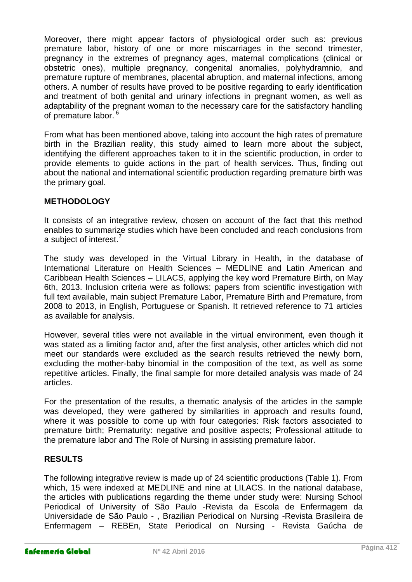Moreover, there might appear factors of physiological order such as: previous premature labor, history of one or more miscarriages in the second trimester, pregnancy in the extremes of pregnancy ages, maternal complications (clinical or obstetric ones), multiple pregnancy, congenital anomalies, polyhydramnio, and premature rupture of membranes, placental abruption, and maternal infections, among others. A number of results have proved to be positive regarding to early identification and treatment of both genital and urinary infections in pregnant women, as well as adaptability of the pregnant woman to the necessary care for the satisfactory handling of premature labor.<sup>6</sup>

From what has been mentioned above, taking into account the high rates of premature birth in the Brazilian reality, this study aimed to learn more about the subject, identifying the different approaches taken to it in the scientific production, in order to provide elements to guide actions in the part of health services. Thus, finding out about the national and international scientific production regarding premature birth was the primary goal.

## **METHODOLOGY**

It consists of an integrative review, chosen on account of the fact that this method enables to summarize studies which have been concluded and reach conclusions from a subject of interest.<sup>7</sup>

The study was developed in the Virtual Library in Health, in the database of International Literature on Health Sciences – MEDLINE and Latin American and Caribbean Health Sciences – LILACS, applying the key word Premature Birth, on May 6th, 2013. Inclusion criteria were as follows: papers from scientific investigation with full text available, main subject Premature Labor, Premature Birth and Premature, from 2008 to 2013, in English, Portuguese or Spanish. It retrieved reference to 71 articles as available for analysis.

However, several titles were not available in the virtual environment, even though it was stated as a limiting factor and, after the first analysis, other articles which did not meet our standards were excluded as the search results retrieved the newly born, excluding the mother-baby binomial in the composition of the text, as well as some repetitive articles. Finally, the final sample for more detailed analysis was made of 24 articles.

For the presentation of the results, a thematic analysis of the articles in the sample was developed, they were gathered by similarities in approach and results found, where it was possible to come up with four categories: Risk factors associated to premature birth; Prematurity: negative and positive aspects; Professional attitude to the premature labor and The Role of Nursing in assisting premature labor.

# **RESULTS**

The following integrative review is made up of 24 scientific productions (Table 1). From which, 15 were indexed at MEDLINE and nine at LILACS. In the national database, the articles with publications regarding the theme under study were: Nursing School Periodical of University of São Paulo -Revista da Escola de Enfermagem da Universidade de São Paulo - , Brazilian Periodical on Nursing -Revista Brasileira de Enfermagem – REBEn, State Periodical on Nursing - Revista Gaúcha de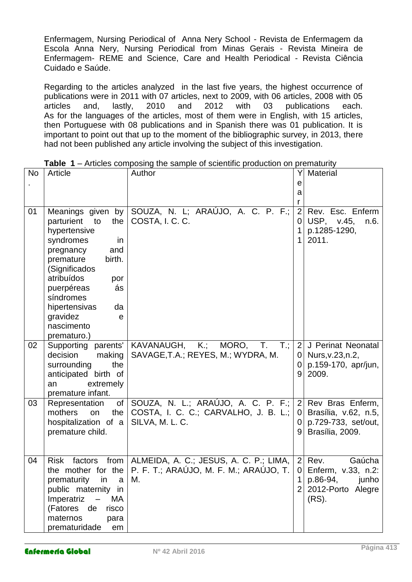Enfermagem, Nursing Periodical of Anna Nery School - Revista de Enfermagem da Escola Anna Nery, Nursing Periodical from Minas Gerais - Revista Mineira de Enfermagem- REME and Science, Care and Health Periodical - Revista Ciência Cuidado e Saúde.

Regarding to the articles analyzed in the last five years, the highest occurrence of publications were in 2011 with 07 articles, next to 2009, with 06 articles, 2008 with 05 articles and, lastly, 2010 and 2012 with 03 publications each. As for the languages of the articles, most of them were in English, with 15 articles, then Portuguese with 08 publications and in Spanish there was 01 publication. It is important to point out that up to the moment of the bibliographic survey, in 2013, there had not been published any article involving the subject of this investigation.

|           |                                                                                                                                                                                                                                    | <b>Table</b> $T -$ Anticles compositing the sample of scientific production on prematurity                           |                                               |                                                                                            |
|-----------|------------------------------------------------------------------------------------------------------------------------------------------------------------------------------------------------------------------------------------|----------------------------------------------------------------------------------------------------------------------|-----------------------------------------------|--------------------------------------------------------------------------------------------|
| <b>No</b> | Article                                                                                                                                                                                                                            | Author                                                                                                               |                                               | <b>Material</b>                                                                            |
|           |                                                                                                                                                                                                                                    |                                                                                                                      | е<br>a                                        |                                                                                            |
|           |                                                                                                                                                                                                                                    |                                                                                                                      |                                               |                                                                                            |
| 01        | parturient<br>to<br>the<br>hypertensive<br>syndromes<br>in<br>and<br>pregnancy<br>premature<br>birth.<br>(Significados<br>atribuídos<br>por<br>puerpéreas<br>ás<br>síndromes<br>hipertensivas<br>da<br>gravidez<br>e<br>nascimento | Meanings given by SOUZA, N. L; ARAÚJO, A. C. P. F.;<br>COSTA, I. C. C.                                               | 2<br>0<br>1                                   | Rev. Esc. Enferm<br>USP, v.45,<br>n.6.<br>p.1285-1290,<br>2011.                            |
| 02        | prematuro.)<br>Supporting parents'<br>decision<br>making<br>surrounding<br>the<br>anticipated birth of<br>extremely<br>an<br>premature infant.                                                                                     | MORO, T.<br>$T$ .;<br>KAVANAUGH, K.;<br>SAVAGE, T.A.; REYES, M.; WYDRA, M.                                           | 2<br>0<br>9                                   | J Perinat Neonatal<br>0   Nurs, v. $23, n.2$ ,<br>p.159-170, apr/jun,<br>2009.             |
| 03        | Representation<br>the<br>mothers<br>on<br>hospitalization of a<br>premature child.                                                                                                                                                 | of SOUZA, N. L.; ARAÚJO, A. C. P. F.;<br>COSTA, I. C. C.; CARVALHO, J. B. L.;<br>SILVA, M. L. C.                     | 0 <sup>1</sup><br>$\Omega$<br>9               | 2 Rev Bras Enferm,<br>Brasília, v.62, n.5,<br>p.729-733, set/out,<br>Brasília, 2009.       |
| 04        | <b>Risk</b><br>factors<br>prematurity in<br>a<br>public maternity in<br>Imperatriz<br>MA<br>$\overline{\phantom{m}}$<br>(Fatores de<br>risco<br>maternos<br>para<br>prematuridade<br>em                                            | from $ $ ALMEIDA, A. C.; JESUS, A. C. P.; LIMA,<br>the mother for the $ P.F.T.$ ; ARAÚJO, M. F. M.; ARAÚJO, T.<br>M. | $\vert$ 2<br>0 <sup>1</sup><br>$\overline{2}$ | Gaúcha<br>Rev.<br>Enferm, v.33, n.2:<br>p.86-94,<br>junho<br>2012-Porto Alegre<br>$(RS)$ . |

| <b>Table 1</b> – Articles composing the sample of scientific production on prematurity |  |
|----------------------------------------------------------------------------------------|--|
|----------------------------------------------------------------------------------------|--|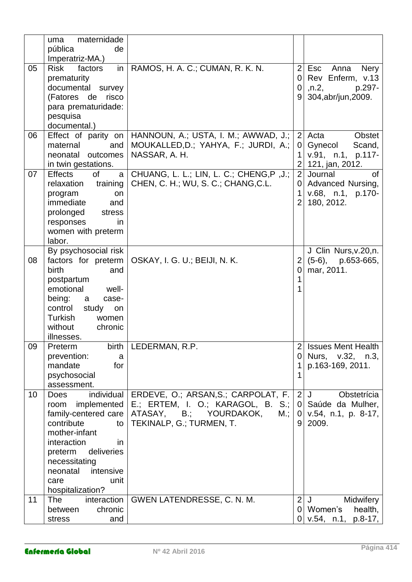|    | maternidade<br>uma<br>pública<br>de                                                                                                                                                                                                        |                                                                                                                                       |                                                         |                                                                                         |
|----|--------------------------------------------------------------------------------------------------------------------------------------------------------------------------------------------------------------------------------------------|---------------------------------------------------------------------------------------------------------------------------------------|---------------------------------------------------------|-----------------------------------------------------------------------------------------|
| 05 | Imperatriz-MA.)<br><b>Risk</b><br>factors<br>in<br>prematurity<br>documental survey<br>(Fatores de<br>risco<br>para prematuridade:<br>pesquisa<br>documental.)                                                                             | RAMOS, H. A. C.; CUMAN, R. K. N.                                                                                                      | $\overline{2}$<br>$\overline{0}$<br>0<br>9              | Esc<br>Anna<br><b>Nery</b><br>Rev Enferm, v.13<br>,n.2<br>p.297-<br>304, abr/jun, 2009. |
| 06 | Effect of parity on<br>maternal<br>and<br>outcomes<br>neonatal<br>in twin gestations.                                                                                                                                                      | HANNOUN, A.; USTA, I. M.; AWWAD, J.;<br>MOUKALLED, D.; YAHYA, F.; JURDI, A.;<br>NASSAR, A. H.                                         | $\overline{2}$<br>0<br>1<br>$\overline{2}$              | Acta<br><b>Obstet</b><br>Scand,<br>Gynecol<br>v.91, n.1, p.117-<br>121, jan, 2012.      |
| 07 | <b>Effects</b><br>0f<br>a<br>training<br>relaxation<br>program<br>on<br>immediate<br>and<br>prolonged<br>stress<br>responses<br>in.<br>women with preterm<br>labor.                                                                        | CHUANG, L. L.; LIN, L. C.; CHENG, P, J.;<br>CHEN, C. H.; WU, S. C.; CHANG, C.L.                                                       | $\overline{2}$<br>0<br>1<br>$\overline{2}$              | Journal<br>0f<br>Advanced Nursing,<br>v.68, n.1, p.170-<br>180, 2012.                   |
| 08 | By psychosocial risk<br>factors for preterm<br>birth<br>and<br>postpartum<br>emotional<br>well-<br>being:<br>case-<br>a<br>control<br>study<br>on<br>Turkish<br>women<br>without<br>chronic<br>illnesses.                                  | OSKAY, I. G. U.; BEIJI, N. K.                                                                                                         | 2<br>$\overline{0}$<br>1<br>1                           | J Clin Nurs, v. 20, n.<br>$(5-6)$ , p.653-665,<br>mar, 2011.                            |
| 09 | Preterm<br>prevention:<br>a<br>mandate<br>for<br>psychosocial<br>assessment.                                                                                                                                                               | birth   LEDERMAN, R.P.                                                                                                                | 2<br>0<br>1                                             | <b>Issues Ment Health</b><br>Nurs, v.32, n.3,<br>p.163-169, 2011.                       |
| 10 | individual<br><b>Does</b><br>implemented<br>room<br>family-centered care<br>contribute<br>to<br>mother-infant<br>interaction<br>in.<br>preterm<br>deliveries<br>necessitating<br>intensive<br>neonatal<br>unit<br>care<br>hospitalization? | ERDEVE, O.; ARSAN, S.; CARPOLAT, F.<br>E.; ERTEM, I. O.; KARAGOL, B. S.;<br>ATASAY, B.; YOURDAKOK,<br>M.;<br>TEKINALP, G.; TURMEN, T. | $\overline{2}$<br>$\overline{0}$<br>$\overline{0}$<br>9 | Obstetrícia<br>J<br>Saúde da Mulher,<br>$v.54$ , n.1, p. 8-17,<br>2009.                 |
| 11 | interaction<br>The<br>chronic<br>between<br>stress<br>and                                                                                                                                                                                  | GWEN LATENDRESSE, C. N. M.                                                                                                            | $\overline{2}$<br>0                                     | Midwifery<br>J<br>Women's<br>health,<br>$p.8-17,$<br>0 v.54, n.1,                       |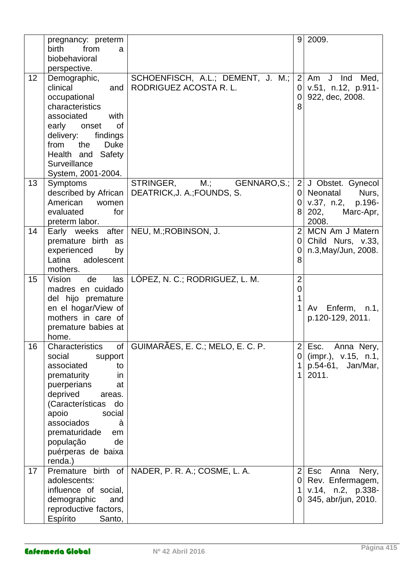|    | pregnancy: preterm<br>birth<br>from<br>a<br>biobehavioral<br>perspective.                                                                                                                                                                                                   |                                                                 |                                            | 9 2009.                                                                                      |
|----|-----------------------------------------------------------------------------------------------------------------------------------------------------------------------------------------------------------------------------------------------------------------------------|-----------------------------------------------------------------|--------------------------------------------|----------------------------------------------------------------------------------------------|
| 12 | Demographic,<br>clinical<br>and<br>occupational<br>characteristics<br>associated<br>with<br>early<br>0f<br>onset<br>delivery:<br>findings<br>the<br><b>Duke</b><br>from<br>Health and<br>Safety<br>Surveillance<br>System, 2001-2004.                                       | SCHOENFISCH, A.L.; DEMENT, J. M.;<br>RODRIGUEZ ACOSTA R.L.      | $\overline{2}$<br>0<br>$\mathbf 0$<br>8    | Am J Ind Med,<br>v.51, n.12, p.911-<br>922, dec, 2008.                                       |
| 13 | Symptoms<br>described by African<br>American<br>women<br>evaluated<br>for<br>preterm labor.                                                                                                                                                                                 | STRINGER,<br>M.;<br>GENNARO, S.;<br>DEATRICK, J. A.; FOUNDS, S. | $\overline{2}$<br>01<br>0<br>8             | J Obstet. Gynecol<br>Neonatal<br>Nurs,<br>p.196-<br>v.37, n.2,<br>Marc-Apr,<br>202,<br>2008. |
| 14 | Early weeks after<br>premature birth as<br>experienced<br>by<br>Latina<br>adolescent<br>mothers.                                                                                                                                                                            | NEU, M.; ROBINSON, J.                                           | $\overline{2}$<br>$\overline{0}$<br>0<br>8 | MCN Am J Matern<br>Child Nurs, v.33,<br>n.3, May/Jun, 2008.                                  |
| 15 | Visíon<br>de<br>las<br>madres en cuidado<br>del hijo premature<br>en el hogar/View of<br>mothers in care of<br>premature babies at<br>home.                                                                                                                                 | LÓPEZ, N. C.; RODRIGUEZ, L. M.                                  | $\overline{2}$<br>$\overline{0}$<br>1      | Enferm,<br>Av<br>n.1,<br>p.120-129, 2011.                                                    |
| 16 | Characteristics<br>of l<br>social<br>support<br>associated<br>to<br>prematurity<br>in<br>puerperians<br>at<br>deprived<br>areas.<br>(Características<br>do<br>apoio<br>social<br>associados<br>à<br>prematuridade<br>em<br>população<br>de<br>puérperas de baixa<br>renda.) | GUIMARÃES, E. C.; MELO, E. C. P.                                | 2<br>0<br>1<br>1                           | Esc.<br>Anna Nery,<br>(impr.), v.15, n.1,<br>$p.54-61,$<br>Jan/Mar,<br>2011.                 |
| 17 | Premature birth of<br>adolescents:<br>influence of social,<br>demographic<br>and<br>reproductive factors,<br>Espírito<br>Santo,                                                                                                                                             | NADER, P. R. A.; COSME, L. A.                                   | $\overline{2}$<br>$\overline{0}$<br>1<br>0 | Anna<br>Esc<br>Nery,<br>Rev. Enfermagem,<br>v.14, n.2, p.338-<br>345, abr/jun, 2010.         |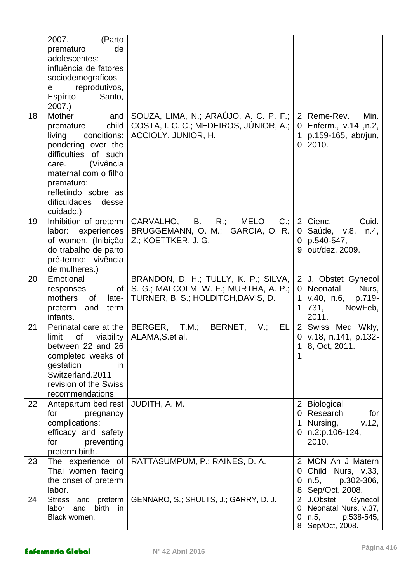|    | 2007.<br>(Parto<br>de<br>prematuro<br>adolescentes:<br>influência de fatores<br>sociodemograficos<br>reprodutivos,<br>e<br>Espírito<br>Santo,<br>2007.                                                                                 |                                                                                                                      |                                            |                                                                                             |
|----|----------------------------------------------------------------------------------------------------------------------------------------------------------------------------------------------------------------------------------------|----------------------------------------------------------------------------------------------------------------------|--------------------------------------------|---------------------------------------------------------------------------------------------|
| 18 | Mother<br>and<br>child<br>premature<br>conditions:<br>living<br>pondering over the<br>difficulties<br>of such<br>(Vivência<br>care.<br>maternal com o filho<br>prematuro:<br>refletindo sobre as<br>dificuldades<br>desse<br>cuidado.) | SOUZA, LIMA, N.; ARAÚJO, A. C. P. F.;<br>COSTA, I. C. C.; MEDEIROS, JUNIOR, A.;<br>ACCIOLY, JUNIOR, H.               | $\overline{2}$<br>0<br>1<br>$\Omega$       | Reme-Rev.<br>Min.<br>Enferm., v.14, n.2,<br>p.159-165, abr/jun,<br>2010.                    |
| 19 | Inhibition of preterm<br>labor:<br>experiences<br>of women. (Inibição<br>do trabalho de parto<br>pré-termo: vivência<br>de mulheres.)                                                                                                  | CARVALHO,<br><b>B.</b><br>$R$ .:<br><b>MELO</b><br>$C$ .;<br>BRUGGEMANN, O. M.; GARCIA, O. R.<br>Z.; KOETTKER, J. G. | 2 <sup>1</sup><br>0<br>0<br>9              | Cuid.<br>Cienc.<br>Saúde, v.8, n.4,<br>p.540-547,<br>out/dez, 2009.                         |
| 20 | Emotional<br>Οf<br>responses<br>mothers<br><b>of</b><br>late-<br>preterm<br>and<br>term<br>infants.                                                                                                                                    | BRANDON, D. H.; TULLY, K. P.; SILVA,<br>S. G.; MALCOLM, W. F.; MURTHA, A. P.;<br>TURNER, B. S.; HOLDITCH, DAVIS, D.  | $\overline{2}$<br>0<br>1<br>1              | J. Obstet Gynecol<br>Neonatal<br>Nurs,<br>v.40, n.6,<br>p.719-<br>731,<br>Nov/Feb,<br>2011. |
| 21 | Perinatal care at the<br>limit<br>of<br>viability<br>between 22 and 26<br>completed weeks of<br>gestation<br>in.<br>Switzerland.2011<br>revision of the Swiss<br>recommendations.                                                      | BERGER,<br>T.M.;<br>BERNET,<br>V:<br>EL<br>ALAMA, S.et al.                                                           | $\overline{2}$<br>0<br>1                   | Swiss Med Wkly,<br>v.18, n.141, p.132-<br>8, Oct, 2011.                                     |
| 22 | Antepartum bed rest<br>for<br>pregnancy<br>complications:<br>efficacy and safety<br>for<br>preventing<br>preterm birth.                                                                                                                | JUDITH, A. M.                                                                                                        | $\overline{2}$<br>0<br>$\mathbf 1$<br>0    | <b>Biological</b><br>Research<br>for<br>Nursing,<br>v.12,<br>n.2:p.106-124,<br>2010.        |
| 23 | The experience of<br>Thai women facing<br>the onset of preterm<br>labor.                                                                                                                                                               | RATTASUMPUM, P.; RAINES, D. A.                                                                                       | $\overline{2}$<br>0<br>0<br>8              | MCN An J Matern<br>Child Nurs, v.33,<br>p.302-306,<br>n.5,<br>Sep/Oct, 2008.                |
| 24 | <b>Stress</b><br>preterm<br>and<br>birth<br>and<br>labor<br>in<br>Black women.                                                                                                                                                         | GENNARO, S.; SHULTS, J.; GARRY, D. J.                                                                                | $\overline{2}$<br>0<br>0<br>8 <sup>1</sup> | J.Obstet<br>Gynecol<br>Neonatal Nurs, v.37,<br>p:538-545,<br>n.5,<br>Sep/Oct, 2008.         |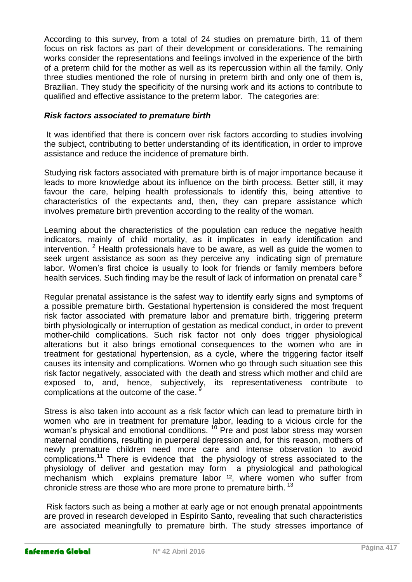According to this survey, from a total of 24 studies on premature birth, 11 of them focus on risk factors as part of their development or considerations. The remaining works consider the representations and feelings involved in the experience of the birth of a preterm child for the mother as well as its repercussion within all the family. Only three studies mentioned the role of nursing in preterm birth and only one of them is, Brazilian. They study the specificity of the nursing work and its actions to contribute to qualified and effective assistance to the preterm labor. The categories are:

#### *Risk factors associated to premature birth*

It was identified that there is concern over risk factors according to studies involving the subject, contributing to better understanding of its identification, in order to improve assistance and reduce the incidence of premature birth.

Studying risk factors associated with premature birth is of major importance because it leads to more knowledge about its influence on the birth process. Better still, it may favour the care, helping health professionals to identify this, being attentive to characteristics of the expectants and, then, they can prepare assistance which involves premature birth prevention according to the reality of the woman.

Learning about the characteristics of the population can reduce the negative health indicators, mainly of child mortality, as it implicates in early identification and intervention.  $2$  Health professionals have to be aware, as well as quide the women to seek urgent assistance as soon as they perceive any indicating sign of premature labor. Women's first choice is usually to look for friends or family members before health services. Such finding may be the result of lack of information on prenatal care  $8$ 

Regular prenatal assistance is the safest way to identify early signs and symptoms of a possible premature birth. Gestational hypertension is considered the most frequent risk factor associated with premature labor and premature birth, triggering preterm birth physiologically or interruption of gestation as medical conduct, in order to prevent mother-child complications. Such risk factor not only does trigger physiological alterations but it also brings emotional consequences to the women who are in treatment for gestational hypertension, as a cycle, where the triggering factor itself causes its intensity and complications. Women who go through such situation see this risk factor negatively, associated with the death and stress which mother and child are exposed to, and, hence, subjectively, its representativeness contribute to complications at the outcome of the case.<sup>9</sup>

Stress is also taken into account as a risk factor which can lead to premature birth in women who are in treatment for premature labor, leading to a vicious circle for the woman's physical and emotional conditions.<sup>10</sup> Pre and post labor stress may worsen maternal conditions, resulting in puerperal depression and, for this reason, mothers of newly premature children need more care and intense observation to avoid complications.<sup>11</sup> There is evidence that the physiology of stress associated to the physiology of deliver and gestation may form a physiological and pathological mechanism which explains premature labor <sup>12</sup>, where women who suffer from chronicle stress are those who are more prone to premature birth.  $^{13}$ 

Risk factors such as being a mother at early age or not enough prenatal appointments are proved in research developed in Espírito Santo, revealing that such characteristics are associated meaningfully to premature birth. The study stresses importance of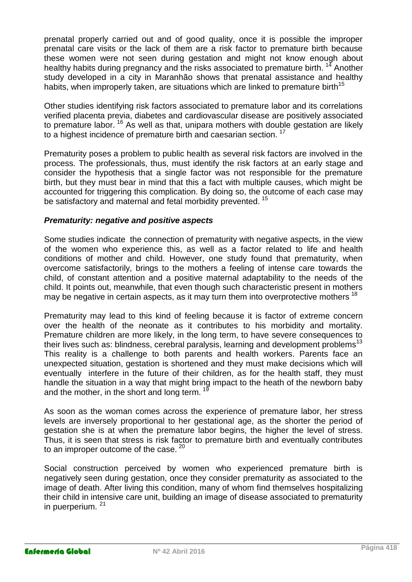prenatal properly carried out and of good quality, once it is possible the improper prenatal care visits or the lack of them are a risk factor to premature birth because these women were not seen during gestation and might not know enough about healthy habits during pregnancy and the risks associated to premature birth.<sup>14</sup> Another study developed in a city in Maranhão shows that prenatal assistance and healthy habits, when improperly taken, are situations which are linked to premature birth<sup>15</sup>

Other studies identifying risk factors associated to premature labor and its correlations verified placenta previa, diabetes and cardiovascular disease are positively associated to premature labor.<sup>16</sup> As well as that, unipara mothers with double gestation are likely to a highest incidence of premature birth and caesarian section.<sup>17</sup>

Prematurity poses a problem to public health as several risk factors are involved in the process. The professionals, thus, must identify the risk factors at an early stage and consider the hypothesis that a single factor was not responsible for the premature birth, but they must bear in mind that this a fact with multiple causes, which might be accounted for triggering this complication. By doing so, the outcome of each case may be satisfactory and maternal and fetal morbidity prevented.<sup>15</sup>

## *Prematurity: negative and positive aspects*

Some studies indicate the connection of prematurity with negative aspects, in the view of the women who experience this, as well as a factor related to life and health conditions of mother and child. However, one study found that prematurity, when overcome satisfactorily, brings to the mothers a feeling of intense care towards the child, of constant attention and a positive maternal adaptability to the needs of the child. It points out, meanwhile, that even though such characteristic present in mothers may be negative in certain aspects, as it may turn them into overprotective mothers  $18$ 

Prematurity may lead to this kind of feeling because it is factor of extreme concern over the health of the neonate as it contributes to his morbidity and mortality. Premature children are more likely, in the long term, to have severe consequences to their lives such as: blindness, cerebral paralysis, learning and development problems<sup>13</sup> This reality is a challenge to both parents and health workers. Parents face an unexpected situation, gestation is shortened and they must make decisions which will eventually interfere in the future of their children, as for the health staff, they must handle the situation in a way that might bring impact to the heath of the newborn baby and the mother, in the short and long term.  $1$ 

As soon as the woman comes across the experience of premature labor, her stress levels are inversely proportional to her gestational age, as the shorter the period of gestation she is at when the premature labor begins, the higher the level of stress. Thus, it is seen that stress is risk factor to premature birth and eventually contributes to an improper outcome of the case.  $20$ 

Social construction perceived by women who experienced premature birth is negatively seen during gestation, once they consider prematurity as associated to the image of death. After living this condition, many of whom find themselves hospitalizing their child in intensive care unit, building an image of disease associated to prematurity in puerperium. <sup>21</sup>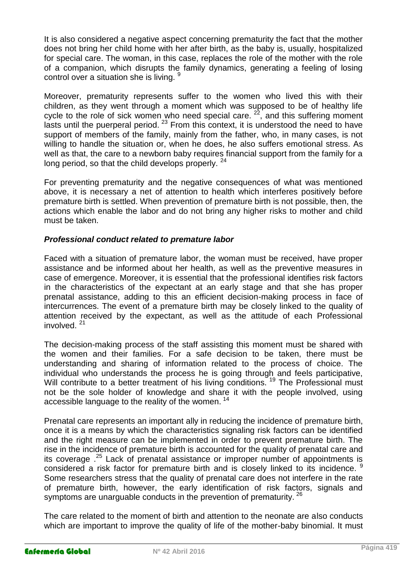It is also considered a negative aspect concerning prematurity the fact that the mother does not bring her child home with her after birth, as the baby is, usually, hospitalized for special care. The woman, in this case, replaces the role of the mother with the role of a companion, which disrupts the family dynamics, generating a feeling of losing control over a situation she is living.

Moreover, prematurity represents suffer to the women who lived this with their children, as they went through a moment which was supposed to be of healthy life cycle to the role of sick women who need special care. <sup>22</sup>, and this suffering moment lasts until the puerperal period.  $23$  From this context, it is understood the need to have support of members of the family, mainly from the father, who, in many cases, is not willing to handle the situation or, when he does, he also suffers emotional stress. As well as that, the care to a newborn baby requires financial support from the family for a long period, so that the child develops properly. <sup>24</sup>

For preventing prematurity and the negative consequences of what was mentioned above, it is necessary a net of attention to health which interferes positively before premature birth is settled. When prevention of premature birth is not possible, then, the actions which enable the labor and do not bring any higher risks to mother and child must be taken.

## *Professional conduct related to premature labor*

Faced with a situation of premature labor, the woman must be received, have proper assistance and be informed about her health, as well as the preventive measures in case of emergence. Moreover, it is essential that the professional identifies risk factors in the characteristics of the expectant at an early stage and that she has proper prenatal assistance, adding to this an efficient decision-making process in face of intercurrences. The event of a premature birth may be closely linked to the quality of attention received by the expectant, as well as the attitude of each Professional involved. <sup>21</sup>

The decision-making process of the staff assisting this moment must be shared with the women and their families. For a safe decision to be taken, there must be understanding and sharing of information related to the process of choice. The individual who understands the process he is going through and feels participative, Will contribute to a better treatment of his living conditions.<sup>19</sup> The Professional must not be the sole holder of knowledge and share it with the people involved, using accessible language to the reality of the women.<sup>14</sup>

Prenatal care represents an important ally in reducing the incidence of premature birth, once it is a means by which the characteristics signaling risk factors can be identified and the right measure can be implemented in order to prevent premature birth. The rise in the incidence of premature birth is accounted for the quality of prenatal care and its coverage .<sup>25</sup> Lack of prenatal assistance or improper number of appointments is considered a risk factor for premature birth and is closely linked to its incidence. <sup>9</sup> Some researchers stress that the quality of prenatal care does not interfere in the rate of premature birth, however, the early identification of risk factors, signals and symptoms are unarguable conducts in the prevention of prematurity.  $26$ 

The care related to the moment of birth and attention to the neonate are also conducts which are important to improve the quality of life of the mother-baby binomial. It must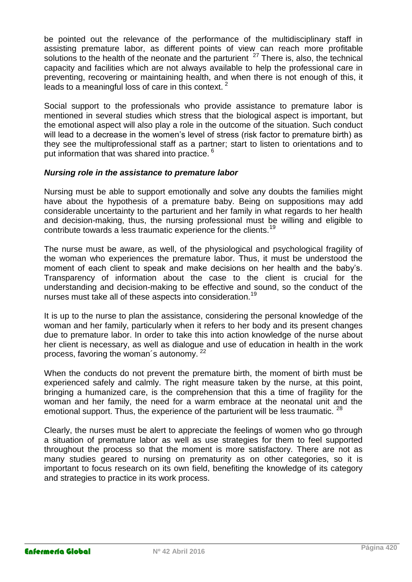be pointed out the relevance of the performance of the multidisciplinary staff in assisting premature labor, as different points of view can reach more profitable solutions to the health of the neonate and the parturient <sup>27</sup> There is, also, the technical capacity and facilities which are not always available to help the professional care in preventing, recovering or maintaining health, and when there is not enough of this, it leads to a meaningful loss of care in this context.<sup>2</sup>

Social support to the professionals who provide assistance to premature labor is mentioned in several studies which stress that the biological aspect is important, but the emotional aspect will also play a role in the outcome of the situation. Such conduct will lead to a decrease in the women's level of stress (risk factor to premature birth) as they see the multiprofessional staff as a partner; start to listen to orientations and to put information that was shared into practice.<sup>6</sup>

### *Nursing role in the assistance to premature labor*

Nursing must be able to support emotionally and solve any doubts the families might have about the hypothesis of a premature baby. Being on suppositions may add considerable uncertainty to the parturient and her family in what regards to her health and decision-making, thus, the nursing professional must be willing and eligible to contribute towards a less traumatic experience for the clients.<sup>19</sup>

The nurse must be aware, as well, of the physiological and psychological fragility of the woman who experiences the premature labor. Thus, it must be understood the moment of each client to speak and make decisions on her health and the baby's. Transparency of information about the case to the client is crucial for the understanding and decision-making to be effective and sound, so the conduct of the nurses must take all of these aspects into consideration.<sup>19</sup>

It is up to the nurse to plan the assistance, considering the personal knowledge of the woman and her family, particularly when it refers to her body and its present changes due to premature labor. In order to take this into action knowledge of the nurse about her client is necessary, as well as dialogue and use of education in health in the work process, favoring the woman's autonomy.<sup>22</sup>

When the conducts do not prevent the premature birth, the moment of birth must be experienced safely and calmly. The right measure taken by the nurse, at this point, bringing a humanized care, is the comprehension that this a time of fragility for the woman and her family, the need for a warm embrace at the neonatal unit and the emotional support. Thus, the experience of the parturient will be less traumatic. <sup>28</sup>

Clearly, the nurses must be alert to appreciate the feelings of women who go through a situation of premature labor as well as use strategies for them to feel supported throughout the process so that the moment is more satisfactory. There are not as many studies geared to nursing on prematurity as on other categories, so it is important to focus research on its own field, benefiting the knowledge of its category and strategies to practice in its work process.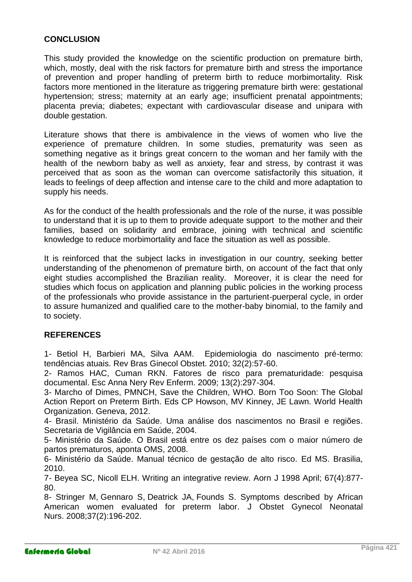## **CONCLUSION**

This study provided the knowledge on the scientific production on premature birth, which, mostly, deal with the risk factors for premature birth and stress the importance of prevention and proper handling of preterm birth to reduce morbimortality. Risk factors more mentioned in the literature as triggering premature birth were: gestational hypertension; stress; maternity at an early age; insufficient prenatal appointments; placenta previa; diabetes; expectant with cardiovascular disease and unipara with double gestation.

Literature shows that there is ambivalence in the views of women who live the experience of premature children. In some studies, prematurity was seen as something negative as it brings great concern to the woman and her family with the health of the newborn baby as well as anxiety, fear and stress, by contrast it was perceived that as soon as the woman can overcome satisfactorily this situation, it leads to feelings of deep affection and intense care to the child and more adaptation to supply his needs.

As for the conduct of the health professionals and the role of the nurse, it was possible to understand that it is up to them to provide adequate support to the mother and their families, based on solidarity and embrace, joining with technical and scientific knowledge to reduce morbimortality and face the situation as well as possible.

It is reinforced that the subject lacks in investigation in our country, seeking better understanding of the phenomenon of premature birth, on account of the fact that only eight studies accomplished the Brazilian reality. Moreover, it is clear the need for studies which focus on application and planning public policies in the working process of the professionals who provide assistance in the parturient-puerperal cycle, in order to assure humanized and qualified care to the mother-baby binomial, to the family and to society.

# **REFERENCES**

1- Betiol H, Barbieri MA, Silva AAM. Epidemiologia do nascimento pré-termo: tendências atuais. Rev Bras Ginecol Obstet. 2010; 32(2):57-60.

2- Ramos HAC, Cuman RKN. [Fatores de risco para prematuridade: pesquisa](http://pesquisa.bvsalud.org/enfermagem/resource/pt/lil-516414)  [documental.](http://pesquisa.bvsalud.org/enfermagem/resource/pt/lil-516414) Esc Anna Nery Rev Enferm. 2009; 13(2):297-304.

3- Marcho of Dimes, PMNCH, Save the Children, WHO. Born Too Soon: The Global Action Report on Preterm Birth. Eds CP Howson, MV Kinney, JE Lawn. World Health Organization. Geneva, 2012.

4- Brasil. Ministério da Saúde. Uma análise dos nascimentos no Brasil e regiões. Secretaria de Vigilância em Saúde, 2004.

5- Ministério da Saúde. O Brasil está entre os dez países com o maior número de partos prematuros, aponta OMS, 2008.

6- Ministério da Saúde. Manual técnico de gestação de alto risco. Ed MS. Brasilia, 2010.

7- Beyea SC, Nicoll ELH. Writing an integrative review. Aorn J 1998 April; 67(4):877- 80.

8- [Stringer M,](http://www.ncbi.nlm.nih.gov/pubmed?term=Stringer%20M%5BAuthor%5D&cauthor=true&cauthor_uid=18336443) [Gennaro S,](http://www.ncbi.nlm.nih.gov/pubmed?term=Gennaro%20S%5BAuthor%5D&cauthor=true&cauthor_uid=18336443) [Deatrick JA,](http://www.ncbi.nlm.nih.gov/pubmed?term=Deatrick%20JA%5BAuthor%5D&cauthor=true&cauthor_uid=18336443) [Founds S.](http://www.ncbi.nlm.nih.gov/pubmed?term=Founds%20S%5BAuthor%5D&cauthor=true&cauthor_uid=18336443) Symptoms described by African American women evaluated for preterm labor. [J Obstet Gynecol Neonatal](http://www.ncbi.nlm.nih.gov/pubmed/18336443)  [Nurs.](http://www.ncbi.nlm.nih.gov/pubmed/18336443) 2008;37(2):196-202.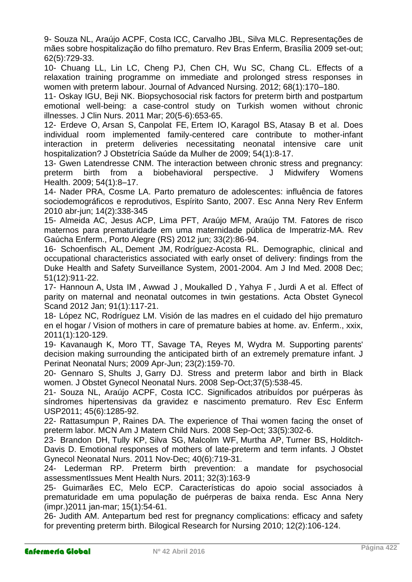9- Souza NL, Araújo ACPF, Costa ICC, Carvalho JBL, Silva MLC. [Representações de](http://pesquisa.bvsalud.org/enfermagem/resource/pt/lil-531572)  [mães sobre hospitalização do filho prematuro.](http://pesquisa.bvsalud.org/enfermagem/resource/pt/lil-531572) Rev Bras Enferm, Brasília 2009 set-out; 62(5):729-33.

10- Chuang LL, Lin LC, Cheng PJ, Chen CH, Wu SC, Chang CL. [Effects of a](http://pesquisa.bvsalud.org/enfermagem/resource/pt/mdl-21771042)  [relaxation training programme on immediate and prolonged stress responses in](http://pesquisa.bvsalud.org/enfermagem/resource/pt/mdl-21771042)  women [with preterm labour.](http://pesquisa.bvsalud.org/enfermagem/resource/pt/mdl-21771042) Journal of Advanced Nursing. 2012; 68(1):170–180.

11- Oskay IGU, Beji NK. [Biopsychosocial risk factors for preterm birth and postpartum](http://pesquisa.bvsalud.org/enfermagem/resource/pt/mdl-21320194)  [emotional well-being: a case-control study on Turkish women without chronic](http://pesquisa.bvsalud.org/enfermagem/resource/pt/mdl-21320194)  [illnesses.](http://pesquisa.bvsalud.org/enfermagem/resource/pt/mdl-21320194) [J Clin Nurs.](http://www.ncbi.nlm.nih.gov/pubmed/21320194) 2011 Mar; 20(5-6):653-65.

12- [Erdeve O,](http://www.ncbi.nlm.nih.gov/pubmed?term=Erdeve%20O%5BAuthor%5D&cauthor=true&cauthor_uid=19021100) [Arsan S,](http://www.ncbi.nlm.nih.gov/pubmed?term=Arsan%20S%5BAuthor%5D&cauthor=true&cauthor_uid=19021100) [Canpolat FE,](http://www.ncbi.nlm.nih.gov/pubmed?term=Canpolat%20FE%5BAuthor%5D&cauthor=true&cauthor_uid=19021100) [Ertem IO,](http://www.ncbi.nlm.nih.gov/pubmed?term=Ertem%20IO%5BAuthor%5D&cauthor=true&cauthor_uid=19021100) [Karagol BS,](http://www.ncbi.nlm.nih.gov/pubmed?term=Karagol%20BS%5BAuthor%5D&cauthor=true&cauthor_uid=19021100) [Atasay B](http://www.ncbi.nlm.nih.gov/pubmed?term=Atasay%20B%5BAuthor%5D&cauthor=true&cauthor_uid=19021100) et al. Does individual room implemented family-centered care contribute to mother-infant interaction in preterm deliveries necessitating neonatal intensive care unit hospitalization? [J Obstetrícia Saúde da Mulher](http://www.ncbi.nlm.nih.gov/entrez/eutils/elink.fcgi?dbfrom=pubmed&retmode=ref&cmd=prlinks&id=19114234) de 2009; 54(1):8-17.

13- [Gwen Latendresse](http://www.ncbi.nlm.nih.gov/pubmed/?term=Latendresse%20G%5Bauth%5D) CNM. The interaction between chronic stress and pregnancy: preterm birth from a biobehavioral perspective. [J Midwifery Womens](http://www.ncbi.nlm.nih.gov/entrez/eutils/elink.fcgi?dbfrom=pubmed&retmode=ref&cmd=prlinks&id=19114234)  Health. 2009; [54\(1\):8–17.](http://www.ncbi.nlm.nih.gov/entrez/eutils/elink.fcgi?dbfrom=pubmed&retmode=ref&cmd=prlinks&id=19114234)

14- Nader PRA, Cosme LA. [Parto prematuro de adolescentes: influência de fatores](http://pesquisa.bvsalud.org/enfermagem/resource/pt/lil-553805)  [sociodemográficos e reprodutivos, Espírito Santo, 2007.](http://pesquisa.bvsalud.org/enfermagem/resource/pt/lil-553805) Esc Anna Nery Rev Enferm 2010 abr-jun; 14(2):338-345

15- Almeida AC, Jesus ACP, Lima PFT, Araújo MFM, Araújo TM. [Fatores de risco](http://pesquisa.bvsalud.org/enfermagem/resource/pt/lil-647928)  [maternos para prematuridade em uma maternidade pública de Imperatriz-MA.](http://pesquisa.bvsalud.org/enfermagem/resource/pt/lil-647928) Rev Gaúcha Enferm., Porto Alegre (RS) 2012 jun; 33(2):86-94.

16- [Schoenfisch AL,](http://www.ncbi.nlm.nih.gov/pubmed?term=Schoenfisch%20AL%5BAuthor%5D&cauthor=true&cauthor_uid=18942663) [Dement JM,](http://www.ncbi.nlm.nih.gov/pubmed?term=Dement%20JM%5BAuthor%5D&cauthor=true&cauthor_uid=18942663) [Rodríguez-Acosta RL.](http://www.ncbi.nlm.nih.gov/pubmed?term=Rodr%C3%ADguez-Acosta%20RL%5BAuthor%5D&cauthor=true&cauthor_uid=18942663) Demographic, clinical and occupational characteristics associated with early onset of delivery: findings from the Duke Health and Safety Surveillance System, 2001-2004. [Am J Ind Med.](http://www.ncbi.nlm.nih.gov/pubmed/18942663) 2008 Dec; 51(12):911-22.

17- [Hannoun](http://translate.googleusercontent.com/translate_c?depth=1&hl=pt-PT&prev=/search%3Fq%3DEffect%2Bof%2Bparity%2Bon%2Bmaternal%2Band%2Bneonatal%2Boutcomes%2Bin%2Btwin%2Bgestations.%26biw%3D1600%26bih%3D799&rurl=translate.google.com.br&sl=en&u=http://www.ncbi.nlm.nih.gov/pubmed%3Fterm%3DHannoun%2520A%255BAuthor%255D%26cauthor%3Dtrue%26cauthor_uid%3D21615358&usg=ALkJrhhW1WPDK9LmXmWHhUUNdL7ZTSR3TA) A, [Usta IM](http://translate.googleusercontent.com/translate_c?depth=1&hl=pt-PT&prev=/search%3Fq%3DEffect%2Bof%2Bparity%2Bon%2Bmaternal%2Band%2Bneonatal%2Boutcomes%2Bin%2Btwin%2Bgestations.%26biw%3D1600%26bih%3D799&rurl=translate.google.com.br&sl=en&u=http://www.ncbi.nlm.nih.gov/pubmed%3Fterm%3DUsta%2520IM%255BAuthor%255D%26cauthor%3Dtrue%26cauthor_uid%3D21615358&usg=ALkJrhi81bZSMQz30uFYRyydarZM5ya7Ig) , [Awwad J](http://translate.googleusercontent.com/translate_c?depth=1&hl=pt-PT&prev=/search%3Fq%3DEffect%2Bof%2Bparity%2Bon%2Bmaternal%2Band%2Bneonatal%2Boutcomes%2Bin%2Btwin%2Bgestations.%26biw%3D1600%26bih%3D799&rurl=translate.google.com.br&sl=en&u=http://www.ncbi.nlm.nih.gov/pubmed%3Fterm%3DAwwad%2520J%255BAuthor%255D%26cauthor%3Dtrue%26cauthor_uid%3D21615358&usg=ALkJrhhnAEC8kb1iDTfbDVWC7i1t-0mvFQ) , [Moukalled D](http://translate.googleusercontent.com/translate_c?depth=1&hl=pt-PT&prev=/search%3Fq%3DEffect%2Bof%2Bparity%2Bon%2Bmaternal%2Band%2Bneonatal%2Boutcomes%2Bin%2Btwin%2Bgestations.%26biw%3D1600%26bih%3D799&rurl=translate.google.com.br&sl=en&u=http://www.ncbi.nlm.nih.gov/pubmed%3Fterm%3DMoukalled%2520D%255BAuthor%255D%26cauthor%3Dtrue%26cauthor_uid%3D21615358&usg=ALkJrhjEzLlyWdAGvfT3n9K8CquDaM4egQ) , [Yahya F](http://translate.googleusercontent.com/translate_c?depth=1&hl=pt-PT&prev=/search%3Fq%3DEffect%2Bof%2Bparity%2Bon%2Bmaternal%2Band%2Bneonatal%2Boutcomes%2Bin%2Btwin%2Bgestations.%26biw%3D1600%26bih%3D799&rurl=translate.google.com.br&sl=en&u=http://www.ncbi.nlm.nih.gov/pubmed%3Fterm%3DYahya%2520F%255BAuthor%255D%26cauthor%3Dtrue%26cauthor_uid%3D21615358&usg=ALkJrhjD2KgAgV-JflpIGSiU14t7wvERBg) , [Jurdi A](http://translate.googleusercontent.com/translate_c?depth=1&hl=pt-PT&prev=/search%3Fq%3DEffect%2Bof%2Bparity%2Bon%2Bmaternal%2Band%2Bneonatal%2Boutcomes%2Bin%2Btwin%2Bgestations.%26biw%3D1600%26bih%3D799&rurl=translate.google.com.br&sl=en&u=http://www.ncbi.nlm.nih.gov/pubmed%3Fterm%3DJurdi%2520A%255BAuthor%255D%26cauthor%3Dtrue%26cauthor_uid%3D21615358&usg=ALkJrhjMu9Pt4W7P-LmfcMCc7vA1bV-ycQ) et al. [Effect of](http://pesquisa.bvsalud.org/enfermagem/resource/pt/mdl-21615358)  [parity on maternal and neonatal outcomes in twin gestations.](http://pesquisa.bvsalud.org/enfermagem/resource/pt/mdl-21615358) [Acta Obstet Gynecol](http://translate.googleusercontent.com/translate_c?depth=1&hl=pt-PT&prev=/search%3Fq%3DEffect%2Bof%2Bparity%2Bon%2Bmaternal%2Band%2Bneonatal%2Boutcomes%2Bin%2Btwin%2Bgestations.%26biw%3D1600%26bih%3D799&rurl=translate.google.com.br&sl=en&u=http://www.ncbi.nlm.nih.gov/pubmed/21615358&usg=ALkJrhj56wv0pFITVb8-o8ATARuA1HCCyQ)  [Scand](http://translate.googleusercontent.com/translate_c?depth=1&hl=pt-PT&prev=/search%3Fq%3DEffect%2Bof%2Bparity%2Bon%2Bmaternal%2Band%2Bneonatal%2Boutcomes%2Bin%2Btwin%2Bgestations.%26biw%3D1600%26bih%3D799&rurl=translate.google.com.br&sl=en&u=http://www.ncbi.nlm.nih.gov/pubmed/21615358&usg=ALkJrhj56wv0pFITVb8-o8ATARuA1HCCyQ) 2012 Jan; 91(1):117-21.

18- López NC, Rodríguez LM. Visión de las madres en el cuidado del hijo prematuro en el hogar / Vision of mothers in care of premature babies at home. av. Enferm., xxix, 2011(1):120-129.

19- Kavanaugh K, Moro TT, Savage TA, Reyes M, Wydra M. [Supporting parents'](http://pesquisa.bvsalud.org/enfermagem/resource/pt/mdl-19474588)  [decision making surrounding the anticipated birth of an extremely premature infant.](http://pesquisa.bvsalud.org/enfermagem/resource/pt/mdl-19474588) [J](http://portal.revistas.bvs.br/transf.php?xsl=xsl/titles.xsl&xml=http://catserver.bireme.br/cgi-bin/wxis1660.exe/?IsisScript=../cgi-bin/catrevistas/catrevistas.xis|database_name=TITLES|list_type=title|cat_name=ALL|from=1|count=50&lang=pt&comefrom=home&home=false&task=show_magazines&request_made_adv_search=false&lang=pt&show_adv_search=false&help_file=/help_pt.htm&connector=ET&search_exp=J%20Perinat%20Neonatal%20Nurs)  [Perinat Neonatal Nurs;](http://portal.revistas.bvs.br/transf.php?xsl=xsl/titles.xsl&xml=http://catserver.bireme.br/cgi-bin/wxis1660.exe/?IsisScript=../cgi-bin/catrevistas/catrevistas.xis|database_name=TITLES|list_type=title|cat_name=ALL|from=1|count=50&lang=pt&comefrom=home&home=false&task=show_magazines&request_made_adv_search=false&lang=pt&show_adv_search=false&help_file=/help_pt.htm&connector=ET&search_exp=J%20Perinat%20Neonatal%20Nurs) 2009 Apr-Jun; 23(2):159-70.

20- [Gennaro S,](http://www.ncbi.nlm.nih.gov/pubmed?term=Gennaro%20S%5BAuthor%5D&cauthor=true&cauthor_uid=18811773) [Shults J,](http://www.ncbi.nlm.nih.gov/pubmed?term=Shults%20J%5BAuthor%5D&cauthor=true&cauthor_uid=18811773) [Garry DJ.](http://www.ncbi.nlm.nih.gov/pubmed?term=Garry%20DJ%5BAuthor%5D&cauthor=true&cauthor_uid=18811773) [Stress and preterm labor and birth in Black](http://pesquisa.bvsalud.org/enfermagem/resource/pt/mdl-18811773)  [women.](http://pesquisa.bvsalud.org/enfermagem/resource/pt/mdl-18811773) [J Obstet Gynecol Neonatal Nurs.](http://www.ncbi.nlm.nih.gov/pubmed/18811773) 2008 Sep-Oct;37(5):538-45.

21- Souza NL, Araújo ACPF, Costa ICC. [Significados atribuídos por puérperas às](http://pesquisa.bvsalud.org/enfermagem/resource/pt/lil-611545)  [síndromes hipertensivas da gravidez e nascimento prematuro.](http://pesquisa.bvsalud.org/enfermagem/resource/pt/lil-611545) Rev Esc Enferm USP2011; 45(6):1285-92.

22- [Rattasumpun P,](http://www.ncbi.nlm.nih.gov/pubmed?term=Rattasumpun%20P%5BAuthor%5D&cauthor=true&cauthor_uid=18758334) [Raines DA.](http://www.ncbi.nlm.nih.gov/pubmed?term=Raines%20DA%5BAuthor%5D&cauthor=true&cauthor_uid=18758334) [The experience of Thai women facing the onset of](http://pesquisa.bvsalud.org/enfermagem/resource/pt/mdl-18758334)  [preterm labor.](http://pesquisa.bvsalud.org/enfermagem/resource/pt/mdl-18758334) [MCN Am J Matern Child Nurs.](http://www.ncbi.nlm.nih.gov/pubmed/18758334) 2008 Sep-Oct; 33(5):302-6.

23- [Brandon DH,](http://www.ncbi.nlm.nih.gov/pubmed?term=Brandon%20DH%5BAuthor%5D&cauthor=true&cauthor_uid=22092914) [Tully KP,](http://www.ncbi.nlm.nih.gov/pubmed?term=Tully%20KP%5BAuthor%5D&cauthor=true&cauthor_uid=22092914) [Silva SG,](http://www.ncbi.nlm.nih.gov/pubmed?term=Silva%20SG%5BAuthor%5D&cauthor=true&cauthor_uid=22092914) [Malcolm WF,](http://www.ncbi.nlm.nih.gov/pubmed?term=Malcolm%20WF%5BAuthor%5D&cauthor=true&cauthor_uid=22092914) [Murtha AP,](http://www.ncbi.nlm.nih.gov/pubmed?term=Murtha%20AP%5BAuthor%5D&cauthor=true&cauthor_uid=22092914) [Turner BS,](http://www.ncbi.nlm.nih.gov/pubmed?term=Turner%20BS%5BAuthor%5D&cauthor=true&cauthor_uid=22092914) [Holditch-](http://www.ncbi.nlm.nih.gov/pubmed?term=Holditch-Davis%20D%5BAuthor%5D&cauthor=true&cauthor_uid=22092914)[Davis D.](http://www.ncbi.nlm.nih.gov/pubmed?term=Holditch-Davis%20D%5BAuthor%5D&cauthor=true&cauthor_uid=22092914) [Emotional responses of mothers of late-preterm and term infants.](http://pesquisa.bvsalud.org/enfermagem/resource/pt/mdl-22092914) [J Obstet](http://www.ncbi.nlm.nih.gov/pubmed/22092914)  [Gynecol Neonatal Nurs.](http://www.ncbi.nlm.nih.gov/pubmed/22092914) 2011 Nov-Dec; 40(6):719-31.

24- Lederman RP. Preterm birth prevention: a mandate for psychosocial assessmen[tIssues Ment Health Nurs.](http://www.ncbi.nlm.nih.gov/pubmed/21341950) 2011; 32(3):163-9

25- Guimarães EC, Melo ECP. [Características do apoio social associados à](http://pesquisa.bvsalud.org/enfermagem/resource/pt/bde-20006)  [prematuridade em uma população de puérperas de baixa renda.](http://pesquisa.bvsalud.org/enfermagem/resource/pt/bde-20006) Esc Anna Nery (impr.)2011 jan-mar; 15(1):54-61.

26- Judith AM. Antepartum bed rest for pregnancy complications: efficacy and safety for preventing preterm birth. Bilogical Research for Nursing 2010; 12(2):106-124.